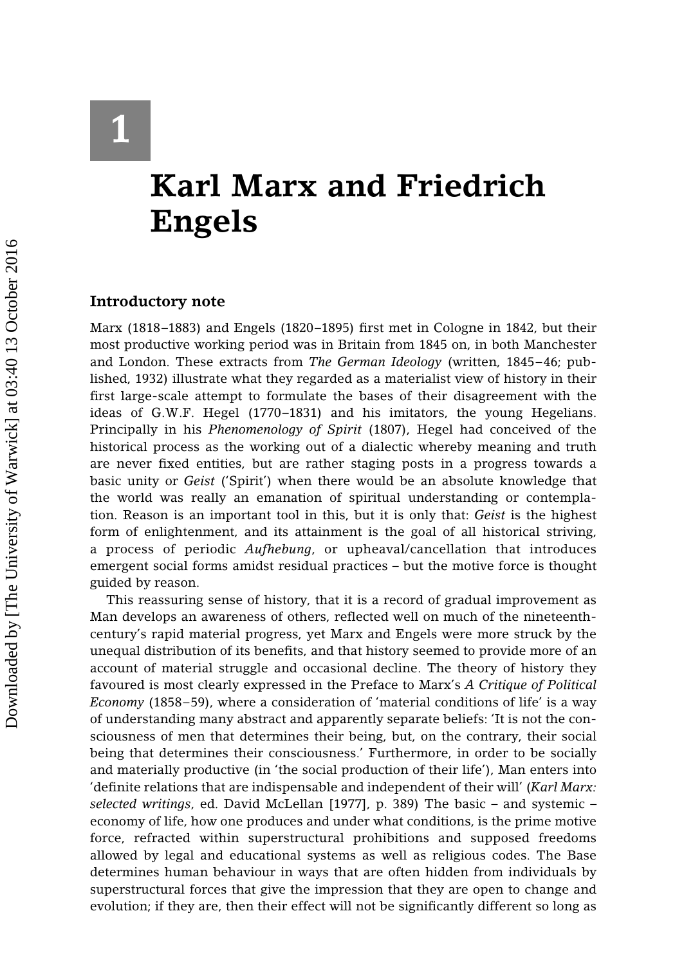# **[1](#page--1-0)**

## **[Karl Marx and Friedrich](#page--1-0) Engels**

#### **Introductory note**

Marx (1818–1883) and Engels (1820–1895) first met in Cologne in 1842, but their most productive working period was in Britain from 1845 on, in both Manchester and London. These extracts from *The German Ideology* (written, 1845–46; published, 1932) illustrate what they regarded as a materialist view of history in their first large-scale attempt to formulate the bases of their disagreement with the ideas of G.W.F. Hegel (1770–1831) and his imitators, the young Hegelians. Principally in his *Phenomenology of Spirit* (1807), Hegel had conceived of the historical process as the working out of a dialectic whereby meaning and truth are never fixed entities, but are rather staging posts in a progress towards a basic unity or *Geist* ('Spirit') when there would be an absolute knowledge that the world was really an emanation of spiritual understanding or contemplation. Reason is an important tool in this, but it is only that: *Geist* is the highest form of enlightenment, and its attainment is the goal of all historical striving, a process of periodic *Aufhebung*, or upheaval/cancellation that introduces emergent social forms amidst residual practices – but the motive force is thought guided by reason.

This reassuring sense of history, that it is a record of gradual improvement as Man develops an awareness of others, reflected well on much of the nineteenthcentury's rapid material progress, yet Marx and Engels were more struck by the unequal distribution of its benefits, and that history seemed to provide more of an account of material struggle and occasional decline. The theory of history they favoured is most clearly expressed in the Preface to Marx's *A Critique of Political Economy* (1858–59), where a consideration of 'material conditions of life' is a way of understanding many abstract and apparently separate beliefs: 'It is not the consciousness of men that determines their being, but, on the contrary, their social being that determines their consciousness.' Furthermore, in order to be socially and materially productive (in 'the social production of their life'), Man enters into 'definite relations that are indispensable and independent of their will' (*Karl Marx: selected writings*, ed. David McLellan [1977], p. 389) The basic – and systemic – economy of life, how one produces and under what conditions, is the prime motive force, refracted within superstructural prohibitions and supposed freedoms allowed by legal and educational systems as well as religious codes. The Base determines human behaviour in ways that are often hidden from individuals by superstructural forces that give the impression that they are open to change and evolution; if they are, then their effect will not be significantly different so long as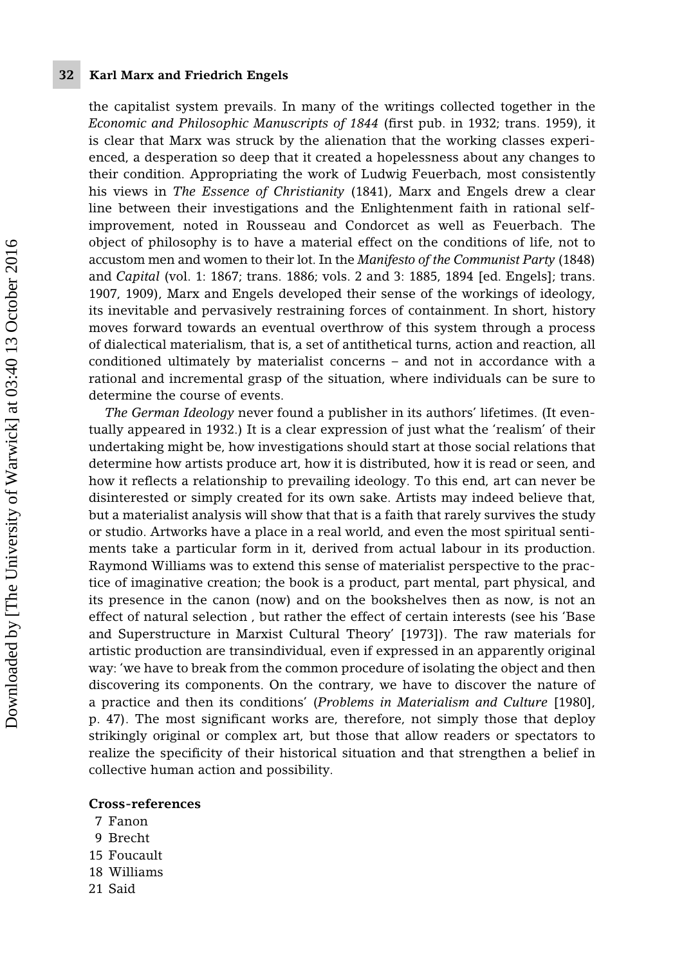the capitalist system prevails. In many of the writings collected together in the *Economic and Philosophic Manuscripts of 1844* (first pub. in 1932; trans. 1959), it is clear that Marx was struck by the alienation that the working classes experienced, a desperation so deep that it created a hopelessness about any changes to their condition. Appropriating the work of Ludwig Feuerbach, most consistently his views in *The Essence of Christianity* (1841), Marx and Engels drew a clear line between their investigations and the Enlightenment faith in rational selfimprovement, noted in Rousseau and Condorcet as well as Feuerbach. The object of philosophy is to have a material effect on the conditions of life, not to accustom men and women to their lot. In the *Manifesto of the Communist Party* (1848) and *Capital* (vol. 1: 1867; trans. 1886; vols. 2 and 3: 1885, 1894 [ed. Engels]; trans. 1907, 1909), Marx and Engels developed their sense of the workings of ideology, its inevitable and pervasively restraining forces of containment. In short, history moves forward towards an eventual overthrow of this system through a process of dialectical materialism, that is, a set of antithetical turns, action and reaction, all conditioned ultimately by materialist concerns – and not in accordance with a rational and incremental grasp of the situation, where individuals can be sure to determine the course of events.

*The German Ideology* never found a publisher in its authors' lifetimes. (It eventually appeared in 1932.) It is a clear expression of just what the 'realism' of their undertaking might be, how investigations should start at those social relations that determine how artists produce art, how it is distributed, how it is read or seen, and how it reflects a relationship to prevailing ideology. To this end, art can never be disinterested or simply created for its own sake. Artists may indeed believe that, but a materialist analysis will show that that is a faith that rarely survives the study or studio. Artworks have a place in a real world, and even the most spiritual sentiments take a particular form in it, derived from actual labour in its production. Raymond Williams was to extend this sense of materialist perspective to the practice of imaginative creation; the book is a product, part mental, part physical, and its presence in the canon (now) and on the bookshelves then as now, is not an effect of natural selection , but rather the effect of certain interests (see his 'Base and Superstructure in Marxist Cultural Theory' [1973]). The raw materials for artistic production are transindividual, even if expressed in an apparently original way: 'we have to break from the common procedure of isolating the object and then discovering its components. On the contrary, we have to discover the nature of a practice and then its conditions' (*Problems in Materialism and Culture* [1980], p. 47). The most significant works are, therefore, not simply those that deploy strikingly original or complex art, but those that allow readers or spectators to realize the specificity of their historical situation and that strengthen a belief in collective human action and possibility.

#### **Cross-references**

- 7 Fanon
- 9 Brecht
- 15 Foucault
- 18 Williams
- 21 Said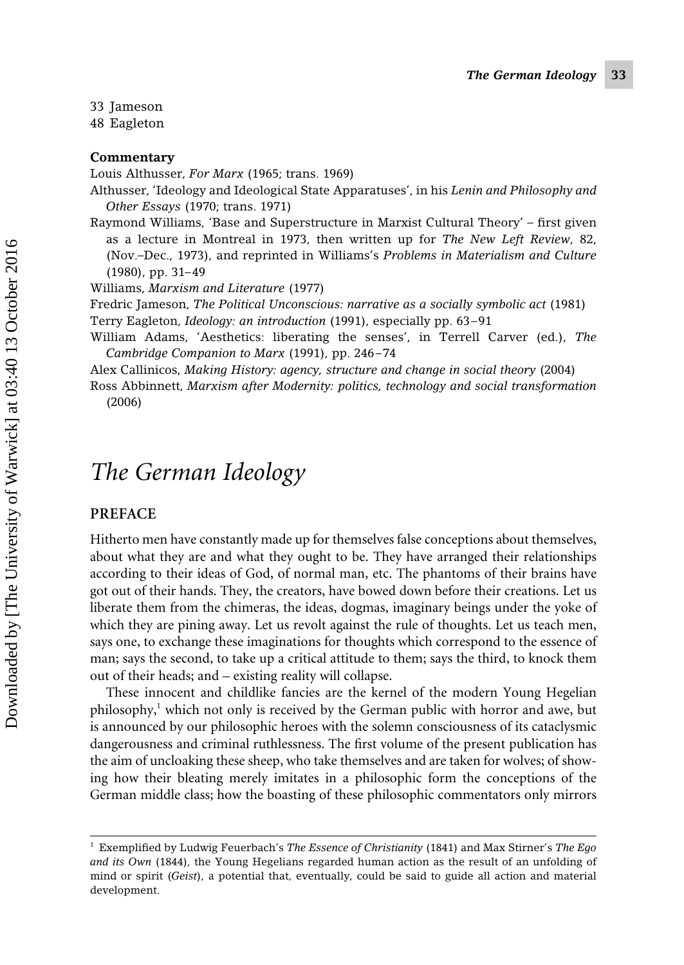33 Jameson

48 Eagleton

#### **Commentary**

Louis Althusser, *For Marx* (1965; trans. 1969)

Althusser, 'Ideology and Ideological State Apparatuses', in his *Lenin and Philosophy and Other Essays* (1970; trans. 1971)

Raymond Williams, 'Base and Superstructure in Marxist Cultural Theory' – first given as a lecture in Montreal in 1973, then written up for *The New Left Review*, 82, (Nov.–Dec., 1973), and reprinted in Williams's *Problems in Materialism and Culture* (1980), pp. 31–49

Williams, *Marxism and Literature* (1977)

Fredric Jameson, *The Political Unconscious: narrative as a socially symbolic act* (1981) Terry Eagleton, *Ideology: an introduction* (1991), especially pp. 63–91

William Adams, 'Aesthetics: liberating the senses', in Terrell Carver (ed.), *The Cambridge Companion to Marx* (1991), pp. 246–74

Alex Callinicos, *Making History: agency, structure and change in social theory* (2004) Ross Abbinnett, *Marxism after Modernity: politics, technology and social transformation* (2006)

### *[The German Ideology](#page--1-0)*

#### **[PREFACE](#page--1-0)**

Hitherto men have constantly made up for themselves false conceptions about themselves, about what they are and what they ought to be. They have arranged their relationships according to their ideas of God, of normal man, etc. The phantoms of their brains have got out of their hands. They, the creators, have bowed down before their creations. Let us liberate them from the chimeras, the ideas, dogmas, imaginary beings under the yoke of which they are pining away. Let us revolt against the rule of thoughts. Let us teach men, says one, to exchange these imaginations for thoughts which correspond to the essence of man; says the second, to take up a critical attitude to them; says the third, to knock them out of their heads; and – existing reality will collapse.

These innocent and childlike fancies are the kernel of the modern Young Hegelian  $philosophy$ ,<sup>1</sup> which not only is received by the German public with horror and awe, but is announced by our philosophic heroes with the solemn consciousness of its cataclysmic dangerousness and criminal ruthlessness. The first volume of the present publication has the aim of uncloaking these sheep, who take themselves and are taken for wolves; of showing how their bleating merely imitates in a philosophic form the conceptions of the German middle class; how the boasting of these philosophic commentators only mirrors

<sup>1</sup> Exemplified by Ludwig Feuerbach's *The Essence of Christianity* (1841) and Max Stirner's *The Ego and its Own* (1844), the Young Hegelians regarded human action as the result of an unfolding of mind or spirit (*Geist*), a potential that, eventually, could be said to guide all action and material development.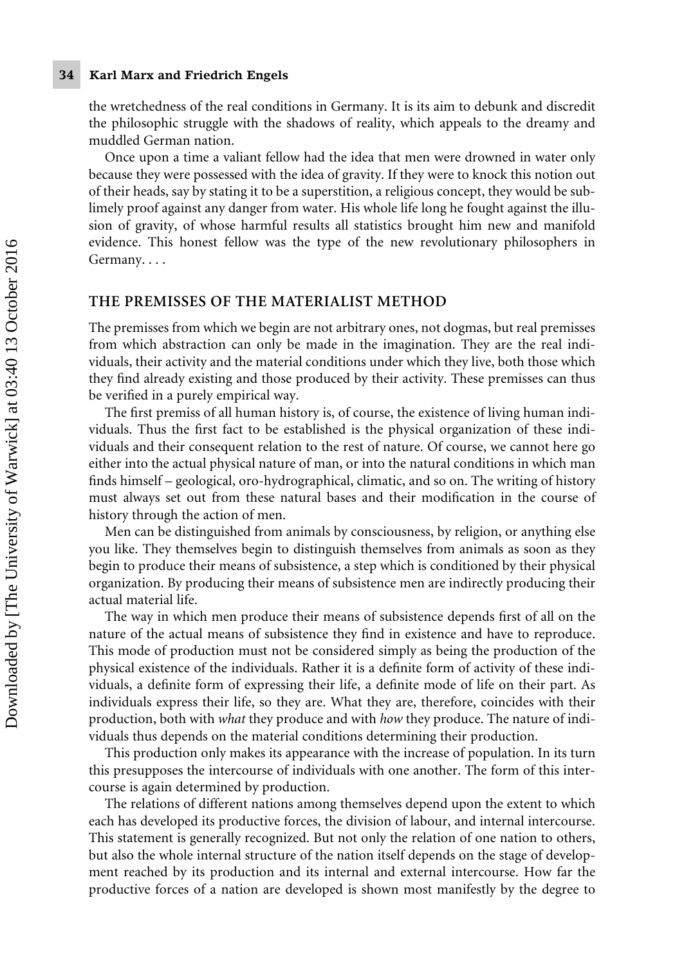the wretchedness of the real conditions in Germany. It is its aim to debunk and discredit the philosophic struggle with the shadows of reality, which appeals to the dreamy and muddled German nation.

Once upon a time a valiant fellow had the idea that men were drowned in water only because they were possessed with the idea of gravity. If they were to knock this notion out of their heads, say by stating it to be a superstition, a religious concept, they would be sublimely proof against any danger from water. His whole life long he fought against the illusion of gravity, of whose harmful results all statistics brought him new and manifold evidence. This honest fellow was the type of the new revolutionary philosophers in Germany....

#### **[THE PREMISSES OF THE MATERIALIST METHOD](#page--1-0)**

The premisses from which we begin are not arbitrary ones, not dogmas, but real premisses from which abstraction can only be made in the imagination. They are the real individuals, their activity and the material conditions under which they live, both those which they find already existing and those produced by their activity. These premisses can thus be verified in a purely empirical way.

The first premiss of all human history is, of course, the existence of living human individuals. Thus the first fact to be established is the physical organization of these individuals and their consequent relation to the rest of nature. Of course, we cannot here go either into the actual physical nature of man, or into the natural conditions in which man finds himself – geological, oro-hydrographical, climatic, and so on. The writing of history must always set out from these natural bases and their modification in the course of history through the action of men.

Men can be distinguished from animals by consciousness, by religion, or anything else you like. They themselves begin to distinguish themselves from animals as soon as they begin to produce their means of subsistence, a step which is conditioned by their physical organization. By producing their means of subsistence men are indirectly producing their actual material life.

The way in which men produce their means of subsistence depends first of all on the nature of the actual means of subsistence they find in existence and have to reproduce. This mode of production must not be considered simply as being the production of the physical existence of the individuals. Rather it is a definite form of activity of these individuals, a definite form of expressing their life, a definite mode of life on their part. As individuals express their life, so they are. What they are, therefore, coincides with their production, both with *what* they produce and with *how* they produce. The nature of individuals thus depends on the material conditions determining their production.

This production only makes its appearance with the increase of population. In its turn this presupposes the intercourse of individuals with one another. The form of this intercourse is again determined by production.

The relations of different nations among themselves depend upon the extent to which each has developed its productive forces, the division of labour, and internal intercourse. This statement is generally recognized. But not only the relation of one nation to others, but also the whole internal structure of the nation itself depends on the stage of development reached by its production and its internal and external intercourse. How far the productive forces of a nation are developed is shown most manifestly by the degree to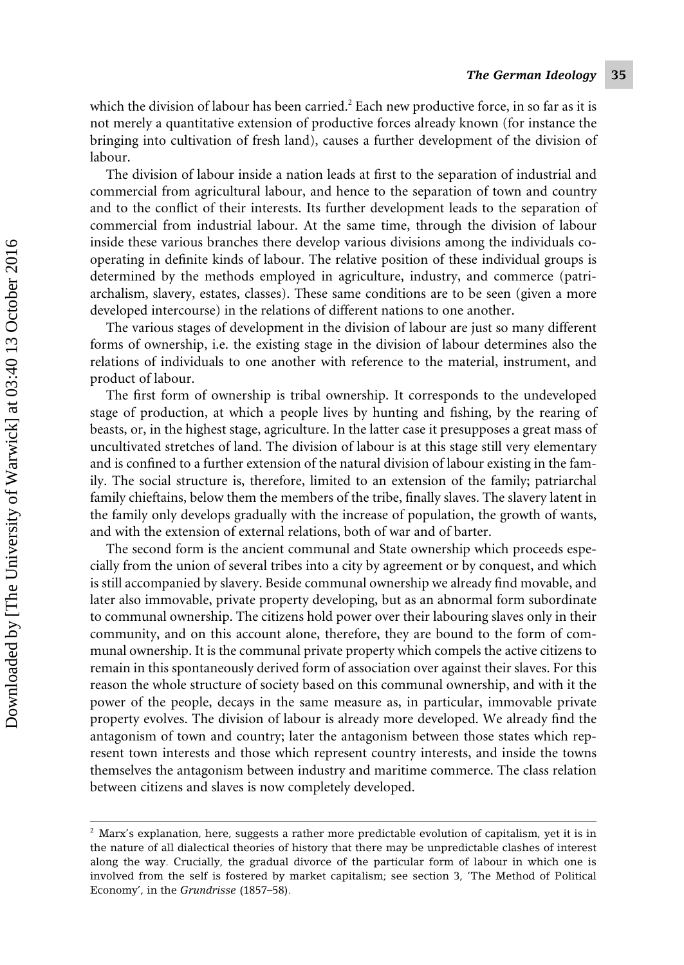which the division of labour has been carried.<sup>2</sup> Each new productive force, in so far as it is not merely a quantitative extension of productive forces already known (for instance the bringing into cultivation of fresh land), causes a further development of the division of labour.

The division of labour inside a nation leads at first to the separation of industrial and commercial from agricultural labour, and hence to the separation of town and country and to the conflict of their interests. Its further development leads to the separation of commercial from industrial labour. At the same time, through the division of labour inside these various branches there develop various divisions among the individuals cooperating in definite kinds of labour. The relative position of these individual groups is determined by the methods employed in agriculture, industry, and commerce (patriarchalism, slavery, estates, classes). These same conditions are to be seen (given a more developed intercourse) in the relations of different nations to one another.

The various stages of development in the division of labour are just so many different forms of ownership, i.e. the existing stage in the division of labour determines also the relations of individuals to one another with reference to the material, instrument, and product of labour.

The first form of ownership is tribal ownership. It corresponds to the undeveloped stage of production, at which a people lives by hunting and fishing, by the rearing of beasts, or, in the highest stage, agriculture. In the latter case it presupposes a great mass of uncultivated stretches of land. The division of labour is at this stage still very elementary and is confined to a further extension of the natural division of labour existing in the family. The social structure is, therefore, limited to an extension of the family; patriarchal family chieftains, below them the members of the tribe, finally slaves. The slavery latent in the family only develops gradually with the increase of population, the growth of wants, and with the extension of external relations, both of war and of barter.

The second form is the ancient communal and State ownership which proceeds especially from the union of several tribes into a city by agreement or by conquest, and which is still accompanied by slavery. Beside communal ownership we already find movable, and later also immovable, private property developing, but as an abnormal form subordinate to communal ownership. The citizens hold power over their labouring slaves only in their community, and on this account alone, therefore, they are bound to the form of communal ownership. It is the communal private property which compels the active citizens to remain in this spontaneously derived form of association over against their slaves. For this reason the whole structure of society based on this communal ownership, and with it the power of the people, decays in the same measure as, in particular, immovable private property evolves. The division of labour is already more developed. We already find the antagonism of town and country; later the antagonism between those states which represent town interests and those which represent country interests, and inside the towns themselves the antagonism between industry and maritime commerce. The class relation between citizens and slaves is now completely developed.

 $2$  Marx's explanation, here, suggests a rather more predictable evolution of capitalism, yet it is in the nature of all dialectical theories of history that there may be unpredictable clashes of interest along the way. Crucially, the gradual divorce of the particular form of labour in which one is involved from the self is fostered by market capitalism; see section 3, 'The Method of Political Economy', in the *Grundrisse* (1857–58).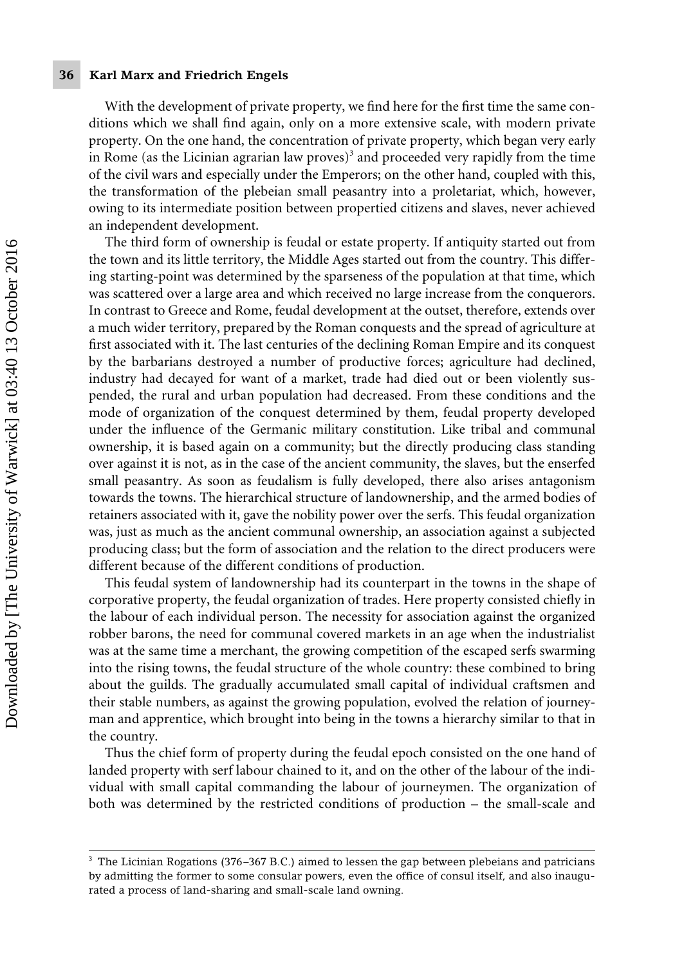With the development of private property, we find here for the first time the same conditions which we shall find again, only on a more extensive scale, with modern private property. On the one hand, the concentration of private property, which began very early in Rome (as the Licinian agrarian law proves)<sup>3</sup> and proceeded very rapidly from the time of the civil wars and especially under the Emperors; on the other hand, coupled with this, the transformation of the plebeian small peasantry into a proletariat, which, however, owing to its intermediate position between propertied citizens and slaves, never achieved an independent development.

The third form of ownership is feudal or estate property. If antiquity started out from the town and its little territory, the Middle Ages started out from the country. This differing starting-point was determined by the sparseness of the population at that time, which was scattered over a large area and which received no large increase from the conquerors. In contrast to Greece and Rome, feudal development at the outset, therefore, extends over a much wider territory, prepared by the Roman conquests and the spread of agriculture at first associated with it. The last centuries of the declining Roman Empire and its conquest by the barbarians destroyed a number of productive forces; agriculture had declined, industry had decayed for want of a market, trade had died out or been violently suspended, the rural and urban population had decreased. From these conditions and the mode of organization of the conquest determined by them, feudal property developed under the influence of the Germanic military constitution. Like tribal and communal ownership, it is based again on a community; but the directly producing class standing over against it is not, as in the case of the ancient community, the slaves, but the enserfed small peasantry. As soon as feudalism is fully developed, there also arises antagonism towards the towns. The hierarchical structure of landownership, and the armed bodies of retainers associated with it, gave the nobility power over the serfs. This feudal organization was, just as much as the ancient communal ownership, an association against a subjected producing class; but the form of association and the relation to the direct producers were different because of the different conditions of production.

This feudal system of landownership had its counterpart in the towns in the shape of corporative property, the feudal organization of trades. Here property consisted chiefly in the labour of each individual person. The necessity for association against the organized robber barons, the need for communal covered markets in an age when the industrialist was at the same time a merchant, the growing competition of the escaped serfs swarming into the rising towns, the feudal structure of the whole country: these combined to bring about the guilds. The gradually accumulated small capital of individual craftsmen and their stable numbers, as against the growing population, evolved the relation of journeyman and apprentice, which brought into being in the towns a hierarchy similar to that in the country.

Thus the chief form of property during the feudal epoch consisted on the one hand of landed property with serf labour chained to it, and on the other of the labour of the individual with small capital commanding the labour of journeymen. The organization of both was determined by the restricted conditions of production – the small-scale and

<sup>3</sup> The Licinian Rogations (376–367 B.C.) aimed to lessen the gap between plebeians and patricians by admitting the former to some consular powers, even the office of consul itself, and also inaugurated a process of land-sharing and small-scale land owning.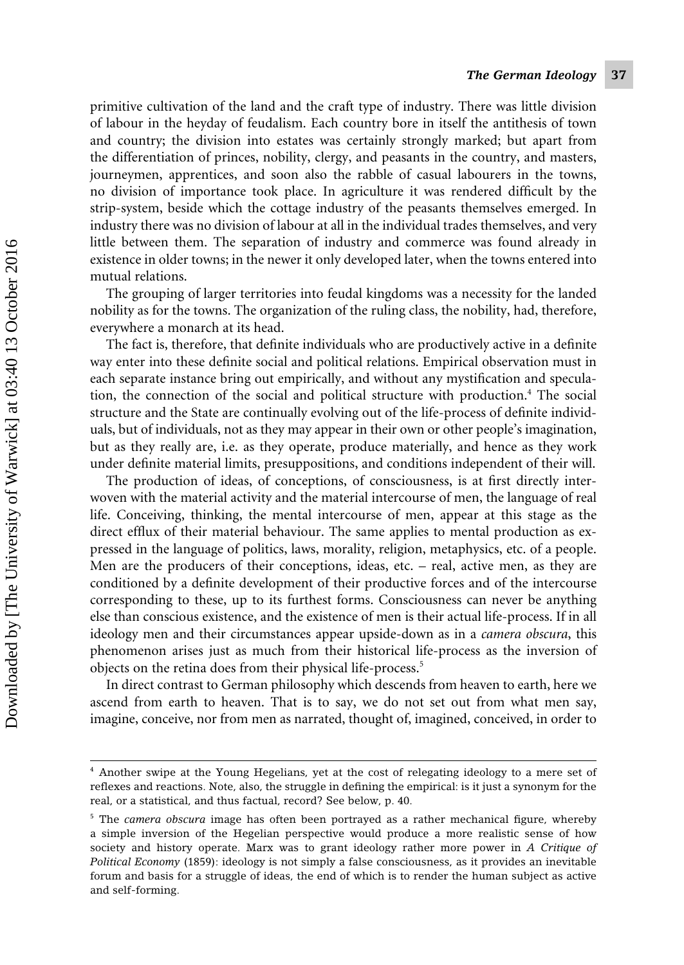primitive cultivation of the land and the craft type of industry. There was little division of labour in the heyday of feudalism. Each country bore in itself the antithesis of town and country; the division into estates was certainly strongly marked; but apart from the differentiation of princes, nobility, clergy, and peasants in the country, and masters, journeymen, apprentices, and soon also the rabble of casual labourers in the towns, no division of importance took place. In agriculture it was rendered difficult by the strip-system, beside which the cottage industry of the peasants themselves emerged. In industry there was no division of labour at all in the individual trades themselves, and very little between them. The separation of industry and commerce was found already in existence in older towns; in the newer it only developed later, when the towns entered into mutual relations.

The grouping of larger territories into feudal kingdoms was a necessity for the landed nobility as for the towns. The organization of the ruling class, the nobility, had, therefore, everywhere a monarch at its head.

The fact is, therefore, that definite individuals who are productively active in a definite way enter into these definite social and political relations. Empirical observation must in each separate instance bring out empirically, and without any mystification and speculation, the connection of the social and political structure with production.<sup>4</sup> The social structure and the State are continually evolving out of the life-process of definite individuals, but of individuals, not as they may appear in their own or other people's imagination, but as they really are, i.e. as they operate, produce materially, and hence as they work under definite material limits, presuppositions, and conditions independent of their will.

The production of ideas, of conceptions, of consciousness, is at first directly interwoven with the material activity and the material intercourse of men, the language of real life. Conceiving, thinking, the mental intercourse of men, appear at this stage as the direct efflux of their material behaviour. The same applies to mental production as expressed in the language of politics, laws, morality, religion, metaphysics, etc. of a people. Men are the producers of their conceptions, ideas, etc. – real, active men, as they are conditioned by a definite development of their productive forces and of the intercourse corresponding to these, up to its furthest forms. Consciousness can never be anything else than conscious existence, and the existence of men is their actual life-process. If in all ideology men and their circumstances appear upside-down as in a *camera obscura*, this phenomenon arises just as much from their historical life-process as the inversion of objects on the retina does from their physical life-process.<sup>5</sup>

In direct contrast to German philosophy which descends from heaven to earth, here we ascend from earth to heaven. That is to say, we do not set out from what men say, imagine, conceive, nor from men as narrated, thought of, imagined, conceived, in order to

<sup>4</sup> Another swipe at the Young Hegelians, yet at the cost of relegating ideology to a mere set of reflexes and reactions. Note, also, the struggle in defining the empirical: is it just a synonym for the real, or a statistical, and thus factual, record? See below, [p. 40.](#page-9-0)

<sup>5</sup> The *camera obscura* image has often been portrayed as a rather mechanical figure, whereby a simple inversion of the Hegelian perspective would produce a more realistic sense of how society and history operate. Marx was to grant ideology rather more power in *A Critique of Political Economy* (1859): ideology is not simply a false consciousness, as it provides an inevitable forum and basis for a struggle of ideas, the end of which is to render the human subject as active and self-forming.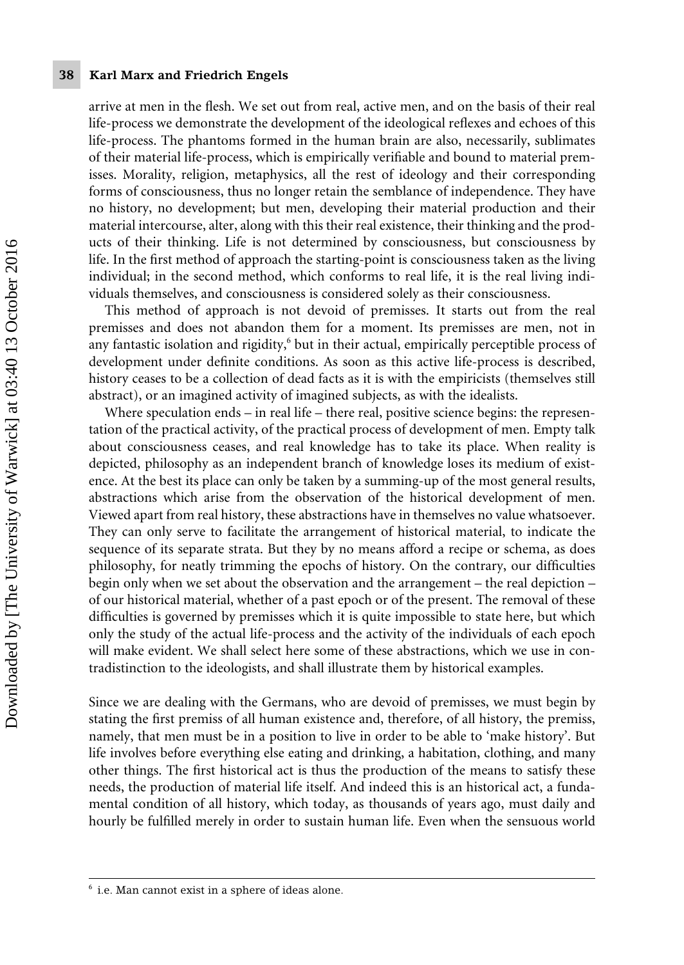arrive at men in the flesh. We set out from real, active men, and on the basis of their real life-process we demonstrate the development of the ideological reflexes and echoes of this life-process. The phantoms formed in the human brain are also, necessarily, sublimates of their material life-process, which is empirically verifiable and bound to material premisses. Morality, religion, metaphysics, all the rest of ideology and their corresponding forms of consciousness, thus no longer retain the semblance of independence. They have no history, no development; but men, developing their material production and their material intercourse, alter, along with this their real existence, their thinking and the products of their thinking. Life is not determined by consciousness, but consciousness by life. In the first method of approach the starting-point is consciousness taken as the living individual; in the second method, which conforms to real life, it is the real living individuals themselves, and consciousness is considered solely as their consciousness.

This method of approach is not devoid of premisses. It starts out from the real premisses and does not abandon them for a moment. Its premisses are men, not in any fantastic isolation and rigidity, $6$  but in their actual, empirically perceptible process of development under definite conditions. As soon as this active life-process is described, history ceases to be a collection of dead facts as it is with the empiricists (themselves still abstract), or an imagined activity of imagined subjects, as with the idealists.

Where speculation ends – in real life – there real, positive science begins: the representation of the practical activity, of the practical process of development of men. Empty talk about consciousness ceases, and real knowledge has to take its place. When reality is depicted, philosophy as an independent branch of knowledge loses its medium of existence. At the best its place can only be taken by a summing-up of the most general results, abstractions which arise from the observation of the historical development of men. Viewed apart from real history, these abstractions have in themselves no value whatsoever. They can only serve to facilitate the arrangement of historical material, to indicate the sequence of its separate strata. But they by no means afford a recipe or schema, as does philosophy, for neatly trimming the epochs of history. On the contrary, our difficulties begin only when we set about the observation and the arrangement – the real depiction – of our historical material, whether of a past epoch or of the present. The removal of these difficulties is governed by premisses which it is quite impossible to state here, but which only the study of the actual life-process and the activity of the individuals of each epoch will make evident. We shall select here some of these abstractions, which we use in contradistinction to the ideologists, and shall illustrate them by historical examples.

Since we are dealing with the Germans, who are devoid of premisses, we must begin by stating the first premiss of all human existence and, therefore, of all history, the premiss, namely, that men must be in a position to live in order to be able to 'make history'. But life involves before everything else eating and drinking, a habitation, clothing, and many other things. The first historical act is thus the production of the means to satisfy these needs, the production of material life itself. And indeed this is an historical act, a fundamental condition of all history, which today, as thousands of years ago, must daily and hourly be fulfilled merely in order to sustain human life. Even when the sensuous world

<sup>6</sup> i.e. Man cannot exist in a sphere of ideas alone.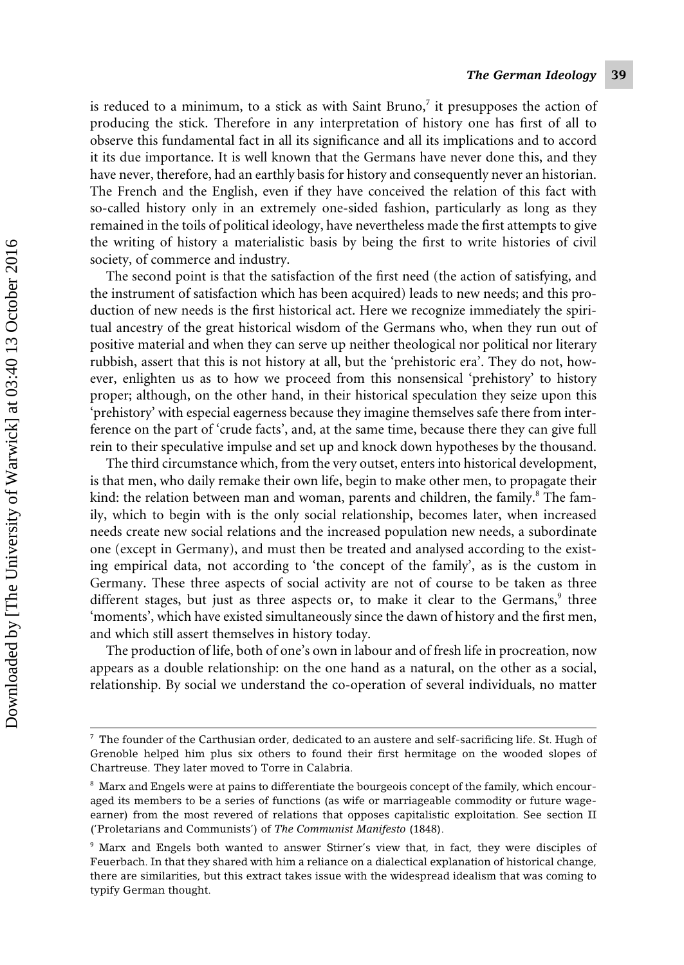is reduced to a minimum, to a stick as with Saint Bruno, $\lambda$  it presupposes the action of producing the stick. Therefore in any interpretation of history one has first of all to observe this fundamental fact in all its significance and all its implications and to accord it its due importance. It is well known that the Germans have never done this, and they have never, therefore, had an earthly basis for history and consequently never an historian. The French and the English, even if they have conceived the relation of this fact with so-called history only in an extremely one-sided fashion, particularly as long as they remained in the toils of political ideology, have nevertheless made the first attempts to give the writing of history a materialistic basis by being the first to write histories of civil society, of commerce and industry.

The second point is that the satisfaction of the first need (the action of satisfying, and the instrument of satisfaction which has been acquired) leads to new needs; and this production of new needs is the first historical act. Here we recognize immediately the spiritual ancestry of the great historical wisdom of the Germans who, when they run out of positive material and when they can serve up neither theological nor political nor literary rubbish, assert that this is not history at all, but the 'prehistoric era'. They do not, however, enlighten us as to how we proceed from this nonsensical 'prehistory' to history proper; although, on the other hand, in their historical speculation they seize upon this 'prehistory' with especial eagerness because they imagine themselves safe there from interference on the part of 'crude facts', and, at the same time, because there they can give full rein to their speculative impulse and set up and knock down hypotheses by the thousand.

The third circumstance which, from the very outset, enters into historical development, is that men, who daily remake their own life, begin to make other men, to propagate their kind: the relation between man and woman, parents and children, the family.<sup>8</sup> The family, which to begin with is the only social relationship, becomes later, when increased needs create new social relations and the increased population new needs, a subordinate one (except in Germany), and must then be treated and analysed according to the existing empirical data, not according to 'the concept of the family', as is the custom in Germany. These three aspects of social activity are not of course to be taken as three different stages, but just as three aspects or, to make it clear to the Germans,<sup>9</sup> three 'moments', which have existed simultaneously since the dawn of history and the first men, and which still assert themselves in history today.

The production of life, both of one's own in labour and of fresh life in procreation, now appears as a double relationship: on the one hand as a natural, on the other as a social, relationship. By social we understand the co-operation of several individuals, no matter

 $7$  The founder of the Carthusian order, dedicated to an austere and self-sacrificing life. St. Hugh of Grenoble helped him plus six others to found their first hermitage on the wooded slopes of Chartreuse. They later moved to Torre in Calabria.

<sup>8</sup> Marx and Engels were at pains to differentiate the bourgeois concept of the family, which encouraged its members to be a series of functions (as wife or marriageable commodity or future wageearner) from the most revered of relations that opposes capitalistic exploitation. See section II ('Proletarians and Communists') of *The Communist Manifesto* (1848).

<sup>9</sup> Marx and Engels both wanted to answer Stirner's view that, in fact, they were disciples of Feuerbach. In that they shared with him a reliance on a dialectical explanation of historical change, there are similarities, but this extract takes issue with the widespread idealism that was coming to typify German thought.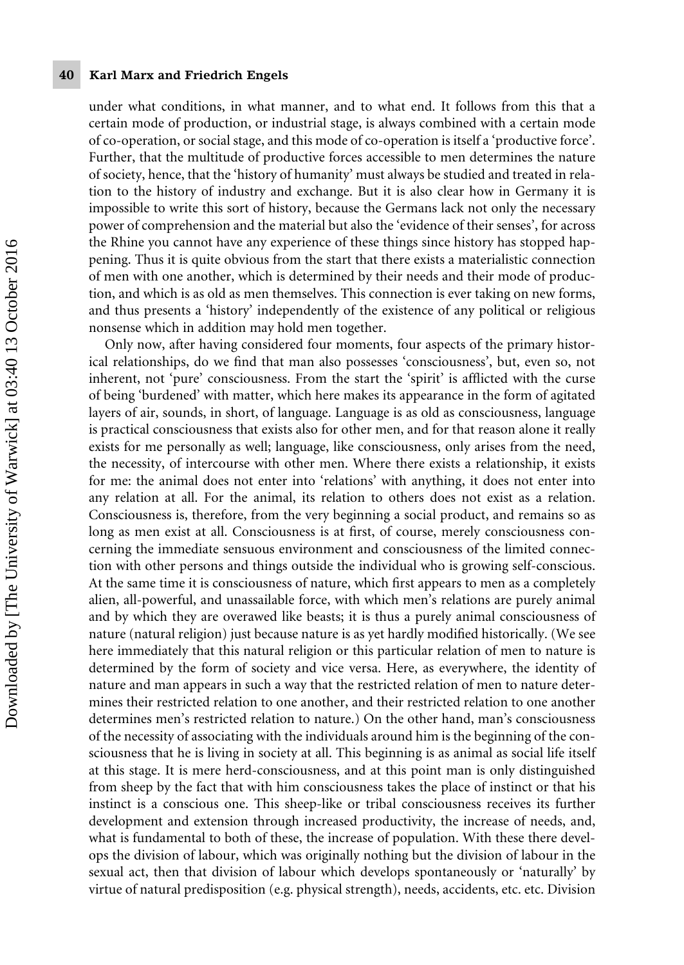<span id="page-9-0"></span>under what conditions, in what manner, and to what end. It follows from this that a certain mode of production, or industrial stage, is always combined with a certain mode of co-operation, or social stage, and this mode of co-operation is itself a 'productive force'. Further, that the multitude of productive forces accessible to men determines the nature of society, hence, that the 'history of humanity' must always be studied and treated in relation to the history of industry and exchange. But it is also clear how in Germany it is impossible to write this sort of history, because the Germans lack not only the necessary power of comprehension and the material but also the 'evidence of their senses', for across the Rhine you cannot have any experience of these things since history has stopped happening. Thus it is quite obvious from the start that there exists a materialistic connection of men with one another, which is determined by their needs and their mode of production, and which is as old as men themselves. This connection is ever taking on new forms, and thus presents a 'history' independently of the existence of any political or religious nonsense which in addition may hold men together.

Only now, after having considered four moments, four aspects of the primary historical relationships, do we find that man also possesses 'consciousness', but, even so, not inherent, not 'pure' consciousness. From the start the 'spirit' is afflicted with the curse of being 'burdened' with matter, which here makes its appearance in the form of agitated layers of air, sounds, in short, of language. Language is as old as consciousness, language is practical consciousness that exists also for other men, and for that reason alone it really exists for me personally as well; language, like consciousness, only arises from the need, the necessity, of intercourse with other men. Where there exists a relationship, it exists for me: the animal does not enter into 'relations' with anything, it does not enter into any relation at all. For the animal, its relation to others does not exist as a relation. Consciousness is, therefore, from the very beginning a social product, and remains so as long as men exist at all. Consciousness is at first, of course, merely consciousness concerning the immediate sensuous environment and consciousness of the limited connection with other persons and things outside the individual who is growing self-conscious. At the same time it is consciousness of nature, which first appears to men as a completely alien, all-powerful, and unassailable force, with which men's relations are purely animal and by which they are overawed like beasts; it is thus a purely animal consciousness of nature (natural religion) just because nature is as yet hardly modified historically. (We see here immediately that this natural religion or this particular relation of men to nature is determined by the form of society and vice versa. Here, as everywhere, the identity of nature and man appears in such a way that the restricted relation of men to nature determines their restricted relation to one another, and their restricted relation to one another determines men's restricted relation to nature.) On the other hand, man's consciousness of the necessity of associating with the individuals around him is the beginning of the consciousness that he is living in society at all. This beginning is as animal as social life itself at this stage. It is mere herd-consciousness, and at this point man is only distinguished from sheep by the fact that with him consciousness takes the place of instinct or that his instinct is a conscious one. This sheep-like or tribal consciousness receives its further development and extension through increased productivity, the increase of needs, and, what is fundamental to both of these, the increase of population. With these there develops the division of labour, which was originally nothing but the division of labour in the sexual act, then that division of labour which develops spontaneously or 'naturally' by virtue of natural predisposition (e.g. physical strength), needs, accidents, etc. etc. Division